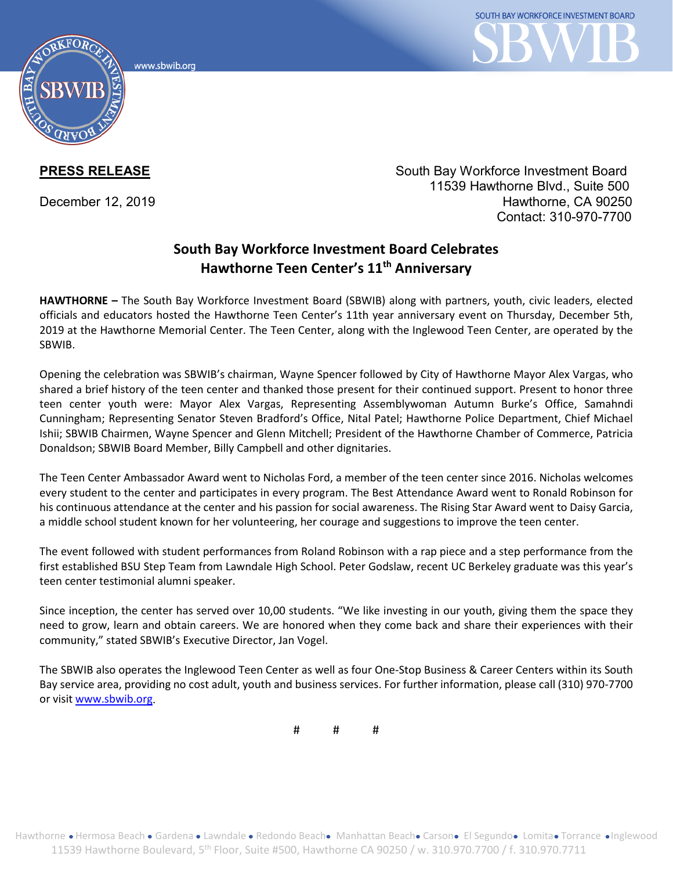www.sbwib.orc



**PRESS RELEASE** South Bay Workforce Investment Board 11539 Hawthorne Blvd., Suite 500 December 12, 2019 **Hawthorne**, CA 90250 Contact: 310-970-7700

## **South Bay Workforce Investment Board Celebrates Hawthorne Teen Center's 11th Anniversary**

**HAWTHORNE –** The South Bay Workforce Investment Board (SBWIB) along with partners, youth, civic leaders, elected officials and educators hosted the Hawthorne Teen Center's 11th year anniversary event on Thursday, December 5th, 2019 at the Hawthorne Memorial Center. The Teen Center, along with the Inglewood Teen Center, are operated by the SBWIB.

Opening the celebration was SBWIB's chairman, Wayne Spencer followed by City of Hawthorne Mayor Alex Vargas, who shared a brief history of the teen center and thanked those present for their continued support. Present to honor three teen center youth were: Mayor Alex Vargas, Representing Assemblywoman Autumn Burke's Office, Samahndi Cunningham; Representing Senator Steven Bradford's Office, Nital Patel; Hawthorne Police Department, Chief Michael Ishii; SBWIB Chairmen, Wayne Spencer and Glenn Mitchell; President of the Hawthorne Chamber of Commerce, Patricia Donaldson; SBWIB Board Member, Billy Campbell and other dignitaries.

The Teen Center Ambassador Award went to Nicholas Ford, a member of the teen center since 2016. Nicholas welcomes every student to the center and participates in every program. The Best Attendance Award went to Ronald Robinson for his continuous attendance at the center and his passion for social awareness. The Rising Star Award went to Daisy Garcia, a middle school student known for her volunteering, her courage and suggestions to improve the teen center.

The event followed with student performances from Roland Robinson with a rap piece and a step performance from the first established BSU Step Team from Lawndale High School. Peter Godslaw, recent UC Berkeley graduate was this year's teen center testimonial alumni speaker.

Since inception, the center has served over 10,00 students. "We like investing in our youth, giving them the space they need to grow, learn and obtain careers. We are honored when they come back and share their experiences with their community," stated SBWIB's Executive Director, Jan Vogel.

The SBWIB also operates the Inglewood Teen Center as well as four One-Stop Business & Career Centers within its South Bay service area, providing no cost adult, youth and business services. For further information, please call (310) 970-7700 or visi[t www.sbwib.org.](http://www.sbwib.org/)

# # #